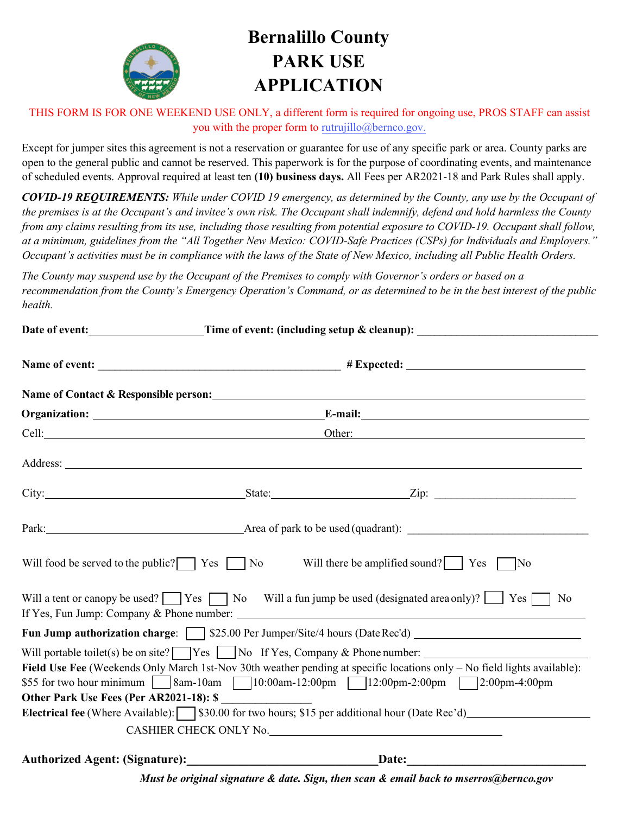

# **Bernalillo County PARK USE APPLICATION**

THIS FORM IS FOR ONE WEEKEND USE ONLY, a different form is required for ongoing use, PROS STAFF can assist you with the proper form to [rutrujillo@bernco.gov.](mailto:maserros@bernco.gov)

Except for jumper sites this agreement is not a reservation or guarantee for use of any specific park or area. County parks are open to the general public and cannot be reserved. This paperwork is for the purpose of coordinating events, and maintenance of scheduled events. Approval required at least ten **(10) business days.** All Fees per AR2021-18 and Park Rules shall apply.

*COVID-19 REQUIREMENTS: While under COVID 19 emergency, as determined by the County, any use by the Occupant of the premises is at the Occupant's and invitee's own risk. The Occupant shall indemnify, defend and hold harmless the County from any claims resulting from its use, including those resulting from potential exposure to COVID-19. Occupant shall follow, at a minimum, guidelines from the "All Together New Mexico: COVID-Safe Practices (CSPs) for Individuals and Employers." Occupant's activities must be in compliance with the laws of the State of New Mexico, including all Public Health Orders.* 

*The County may suspend use by the Occupant of the Premises to comply with Governor's orders or based on a recommendation from the County's Emergency Operation's Command, or as determined to be in the best interest of the public health.* 

|                                                         |        | Date of event: ______________________Time of event: (including setup & cleanup): _____________________________                          |
|---------------------------------------------------------|--------|-----------------------------------------------------------------------------------------------------------------------------------------|
|                                                         |        |                                                                                                                                         |
|                                                         |        |                                                                                                                                         |
|                                                         |        |                                                                                                                                         |
| Cell: <u>Cellical</u>                                   | Other: |                                                                                                                                         |
|                                                         |        |                                                                                                                                         |
|                                                         |        |                                                                                                                                         |
|                                                         |        | Park: <u>New York:</u> Area of park to be used (quadrant):                                                                              |
| Will food be served to the public? $\Box$ Yes $\Box$ No |        | Will there be amplified sound? $\vert$ Yes<br>$\blacksquare$ No                                                                         |
|                                                         |        | Will a tent or canopy be used? $\Box$ Yes $\Box$ No Will a fun jump be used (designated area only)? $\Box$ Yes $\Box$<br>N <sub>o</sub> |
|                                                         |        | Fun Jump authorization charge: [ \] \$25.00 Per Jumper/Site/4 hours (Date Rec'd) ______________________________                         |
|                                                         |        | Will portable toilet(s) be on site? $\Box$ Yes $\Box$ No If Yes, Company & Phone number: $\Box$                                         |
|                                                         |        | Field Use Fee (Weekends Only March 1st-Nov 30th weather pending at specific locations only - No field lights available):                |
|                                                         |        | \$55 for two hour minimum   8am-10am   10:00am-12:00pm   12:00pm-2:00pm   2:00pm-4:00pm                                                 |
| Other Park Use Fees (Per AR2021-18): \$                 |        |                                                                                                                                         |
|                                                         |        | Electrical fee (Where Available): \ \ \\$30.00 for two hours; \$15 per additional hour (Date Rec'd)                                     |
|                                                         |        | CASHIER CHECK ONLY No.                                                                                                                  |
|                                                         |        | Date:                                                                                                                                   |

*Must be original signature & date. Sign, then scan & email back to mserros@bernco.gov*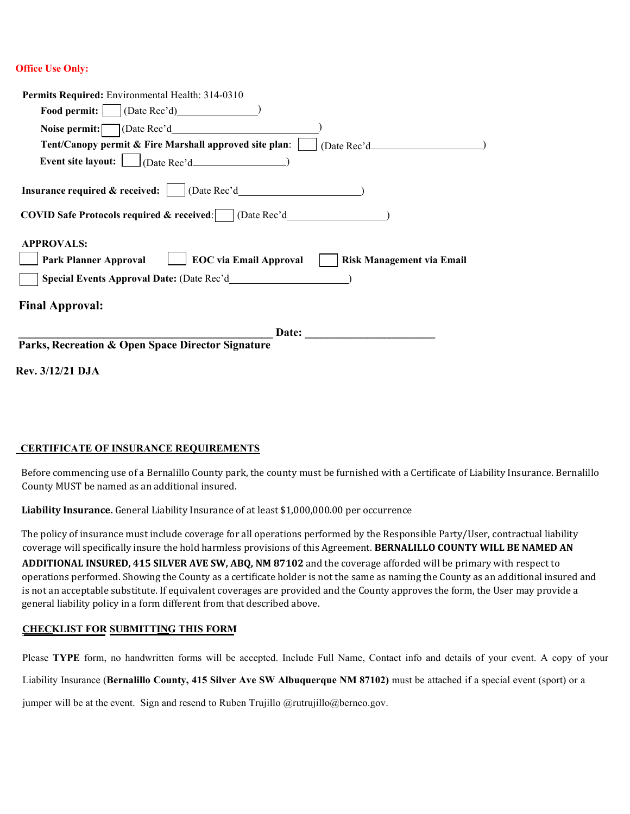#### **Office Use Only:**

| Permits Required: Environmental Health: 314-0310                                                                                                                                          |
|-------------------------------------------------------------------------------------------------------------------------------------------------------------------------------------------|
| <b>Food permit:</b>   (Date Rec'd)                                                                                                                                                        |
| Noise permit: $\Box$ (Date Rec'd                                                                                                                                                          |
| Tent/Canopy permit & Fire Marshall approved site plan:     (Date Rec'd___________                                                                                                         |
|                                                                                                                                                                                           |
| <b>Insurance required &amp; received:</b>     (Date Rec'd__________________________________<br><b>COVID Safe Protocols required &amp; received:</b> (Date Rec'd__________________________ |
| <b>APPROVALS:</b><br><b>EOC</b> via Email Approval<br><b>Park Planner Approval</b><br><b>Risk Management via Email</b>                                                                    |
| <b>Final Approval:</b>                                                                                                                                                                    |
|                                                                                                                                                                                           |
| Parks, Recreation & Open Space Director Signature                                                                                                                                         |
| <b>Rev. 3/12/21 DJA</b>                                                                                                                                                                   |

#### **CERTIFICATE OF INSURANCE REQUIREMENTS**

Before commencing use of a Bernalillo County park, the county must be furnished with a Certificate of Liability Insurance. Bernalillo County MUST be named as an additional insured.

**Liability Insurance.** General Liability Insurance of at least \$1,000,000.00 per occurrence

The policy of insurance must include coverage for all operations performed by the Responsible Party/User, contractual liability coverage will specifically insure the hold harmless provisions of this Agreement. **BERNALILLO COUNTY WILL BE NAMED AN** 

**ADDITIONAL INSURED, 415 SILVER AVE SW, ABQ, NM 87102** and the coverage afforded will be primary with respect to operations performed. Showing the County as a certificate holder is not the same as naming the County as an additional insured and is not an acceptable substitute. If equivalent coverages are provided and the County approves the form, the User may provide a general liability policy in a form different from that described above.

#### **CHECKLIST FOR SUBMITTING THIS FORM**

Please **TYPE** form, no handwritten forms will be accepted. Include Full Name, Contact info and details of your event. A copy of your

Liability Insurance (**Bernalillo County, 415 Silver Ave SW Albuquerque NM 87102)** must be attached if a special event (sport) or a

jumper will be at the event. Sign and resend to Ruben Trujillo  $@rutruillo@bernco.gov$ .